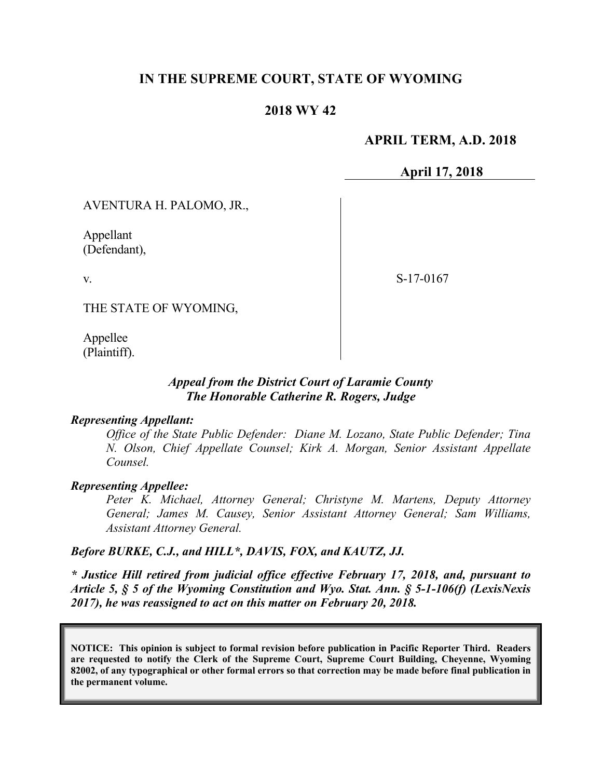# **IN THE SUPREME COURT, STATE OF WYOMING**

## **2018 WY 42**

## **APRIL TERM, A.D. 2018**

**April 17, 2018**

AVENTURA H. PALOMO, JR.,

Appellant (Defendant),

v.

S-17-0167

THE STATE OF WYOMING,

Appellee (Plaintiff).

## *Appeal from the District Court of Laramie County The Honorable Catherine R. Rogers, Judge*

#### *Representing Appellant:*

*Office of the State Public Defender: Diane M. Lozano, State Public Defender; Tina N. Olson, Chief Appellate Counsel; Kirk A. Morgan, Senior Assistant Appellate Counsel.*

#### *Representing Appellee:*

*Peter K. Michael, Attorney General; Christyne M. Martens, Deputy Attorney General; James M. Causey, Senior Assistant Attorney General; Sam Williams, Assistant Attorney General.*

#### *Before BURKE, C.J., and HILL\*, DAVIS, FOX, and KAUTZ, JJ.*

*\* Justice Hill retired from judicial office effective February 17, 2018, and, pursuant to Article 5, § 5 of the Wyoming Constitution and Wyo. Stat. Ann. § 5-1-106(f) (LexisNexis 2017), he was reassigned to act on this matter on February 20, 2018.*

**NOTICE: This opinion is subject to formal revision before publication in Pacific Reporter Third. Readers are requested to notify the Clerk of the Supreme Court, Supreme Court Building, Cheyenne, Wyoming 82002, of any typographical or other formal errors so that correction may be made before final publication in the permanent volume.**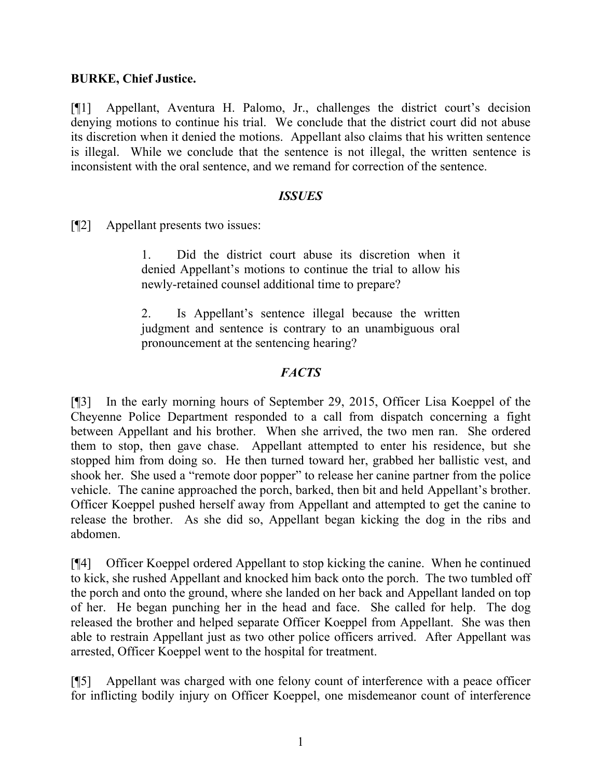# **BURKE, Chief Justice.**

[¶1] Appellant, Aventura H. Palomo, Jr., challenges the district court's decision denying motions to continue his trial. We conclude that the district court did not abuse its discretion when it denied the motions. Appellant also claims that his written sentence is illegal. While we conclude that the sentence is not illegal, the written sentence is inconsistent with the oral sentence, and we remand for correction of the sentence.

## *ISSUES*

[¶2] Appellant presents two issues:

1. Did the district court abuse its discretion when it denied Appellant's motions to continue the trial to allow his newly-retained counsel additional time to prepare?

2. Is Appellant's sentence illegal because the written judgment and sentence is contrary to an unambiguous oral pronouncement at the sentencing hearing?

# *FACTS*

[¶3] In the early morning hours of September 29, 2015, Officer Lisa Koeppel of the Cheyenne Police Department responded to a call from dispatch concerning a fight between Appellant and his brother. When she arrived, the two men ran. She ordered them to stop, then gave chase. Appellant attempted to enter his residence, but she stopped him from doing so. He then turned toward her, grabbed her ballistic vest, and shook her. She used a "remote door popper" to release her canine partner from the police vehicle. The canine approached the porch, barked, then bit and held Appellant's brother. Officer Koeppel pushed herself away from Appellant and attempted to get the canine to release the brother. As she did so, Appellant began kicking the dog in the ribs and abdomen.

[¶4] Officer Koeppel ordered Appellant to stop kicking the canine. When he continued to kick, she rushed Appellant and knocked him back onto the porch. The two tumbled off the porch and onto the ground, where she landed on her back and Appellant landed on top of her. He began punching her in the head and face. She called for help. The dog released the brother and helped separate Officer Koeppel from Appellant. She was then able to restrain Appellant just as two other police officers arrived. After Appellant was arrested, Officer Koeppel went to the hospital for treatment.

[¶5] Appellant was charged with one felony count of interference with a peace officer for inflicting bodily injury on Officer Koeppel, one misdemeanor count of interference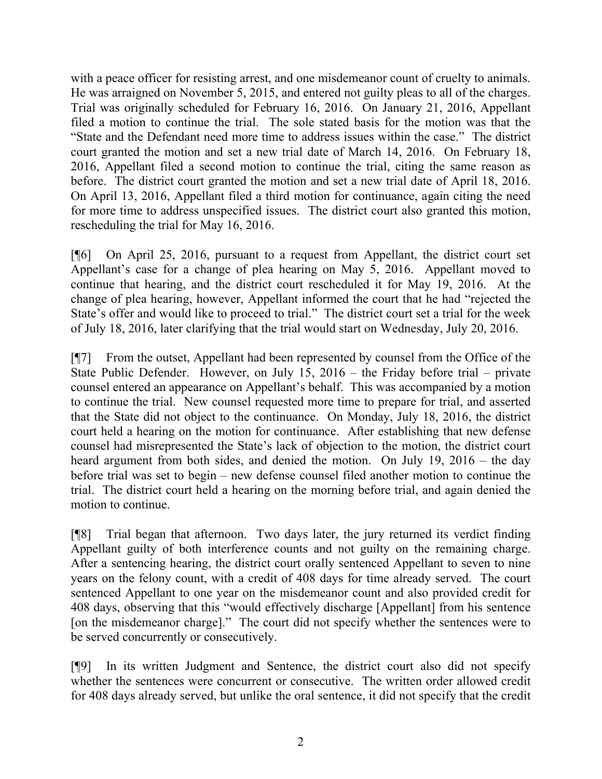with a peace officer for resisting arrest, and one misdemeanor count of cruelty to animals. He was arraigned on November 5, 2015, and entered not guilty pleas to all of the charges. Trial was originally scheduled for February 16, 2016. On January 21, 2016, Appellant filed a motion to continue the trial. The sole stated basis for the motion was that the "State and the Defendant need more time to address issues within the case." The district court granted the motion and set a new trial date of March 14, 2016. On February 18, 2016, Appellant filed a second motion to continue the trial, citing the same reason as before. The district court granted the motion and set a new trial date of April 18, 2016. On April 13, 2016, Appellant filed a third motion for continuance, again citing the need for more time to address unspecified issues. The district court also granted this motion, rescheduling the trial for May 16, 2016.

[¶6] On April 25, 2016, pursuant to a request from Appellant, the district court set Appellant's case for a change of plea hearing on May 5, 2016. Appellant moved to continue that hearing, and the district court rescheduled it for May 19, 2016. At the change of plea hearing, however, Appellant informed the court that he had "rejected the State's offer and would like to proceed to trial." The district court set a trial for the week of July 18, 2016, later clarifying that the trial would start on Wednesday, July 20, 2016.

[¶7] From the outset, Appellant had been represented by counsel from the Office of the State Public Defender. However, on July 15, 2016 – the Friday before trial – private counsel entered an appearance on Appellant's behalf. This was accompanied by a motion to continue the trial. New counsel requested more time to prepare for trial, and asserted that the State did not object to the continuance. On Monday, July 18, 2016, the district court held a hearing on the motion for continuance. After establishing that new defense counsel had misrepresented the State's lack of objection to the motion, the district court heard argument from both sides, and denied the motion. On July 19, 2016 – the day before trial was set to begin – new defense counsel filed another motion to continue the trial. The district court held a hearing on the morning before trial, and again denied the motion to continue.

[¶8] Trial began that afternoon. Two days later, the jury returned its verdict finding Appellant guilty of both interference counts and not guilty on the remaining charge. After a sentencing hearing, the district court orally sentenced Appellant to seven to nine years on the felony count, with a credit of 408 days for time already served. The court sentenced Appellant to one year on the misdemeanor count and also provided credit for 408 days, observing that this "would effectively discharge [Appellant] from his sentence [on the misdemeanor charge]." The court did not specify whether the sentences were to be served concurrently or consecutively.

[¶9] In its written Judgment and Sentence, the district court also did not specify whether the sentences were concurrent or consecutive. The written order allowed credit for 408 days already served, but unlike the oral sentence, it did not specify that the credit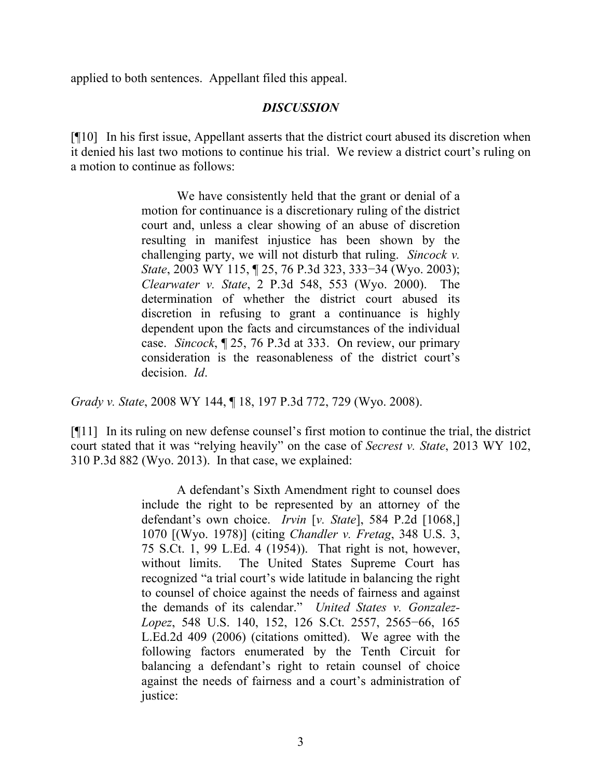applied to both sentences. Appellant filed this appeal.

# *DISCUSSION*

[¶10] In his first issue, Appellant asserts that the district court abused its discretion when it denied his last two motions to continue his trial. We review a district court's ruling on a motion to continue as follows:

> We have consistently held that the grant or denial of a motion for continuance is a discretionary ruling of the district court and, unless a clear showing of an abuse of discretion resulting in manifest injustice has been shown by the challenging party, we will not disturb that ruling. *Sincock v. State*, 2003 WY 115, ¶ 25, 76 P.3d 323, 333−34 (Wyo. 2003); *Clearwater v. State*, 2 P.3d 548, 553 (Wyo. 2000). The determination of whether the district court abused its discretion in refusing to grant a continuance is highly dependent upon the facts and circumstances of the individual case. *Sincock*, ¶ 25, 76 P.3d at 333. On review, our primary consideration is the reasonableness of the district court's decision. *Id*.

*Grady v. State*, 2008 WY 144, ¶ 18, 197 P.3d 772, 729 (Wyo. 2008).

[¶11] In its ruling on new defense counsel's first motion to continue the trial, the district court stated that it was "relying heavily" on the case of *Secrest v. State*, 2013 WY 102, 310 P.3d 882 (Wyo. 2013). In that case, we explained:

> A defendant's Sixth Amendment right to counsel does include the right to be represented by an attorney of the defendant's own choice. *Irvin* [*v. State*], 584 P.2d [1068,] 1070 [(Wyo. 1978)] (citing *Chandler v. Fretag*, 348 U.S. 3, 75 S.Ct. 1, 99 L.Ed. 4 (1954)). That right is not, however, without limits. The United States Supreme Court has recognized "a trial court's wide latitude in balancing the right to counsel of choice against the needs of fairness and against the demands of its calendar." *United States v. Gonzalez-Lopez*, 548 U.S. 140, 152, 126 S.Ct. 2557, 2565−66, 165 L.Ed.2d 409 (2006) (citations omitted). We agree with the following factors enumerated by the Tenth Circuit for balancing a defendant's right to retain counsel of choice against the needs of fairness and a court's administration of justice: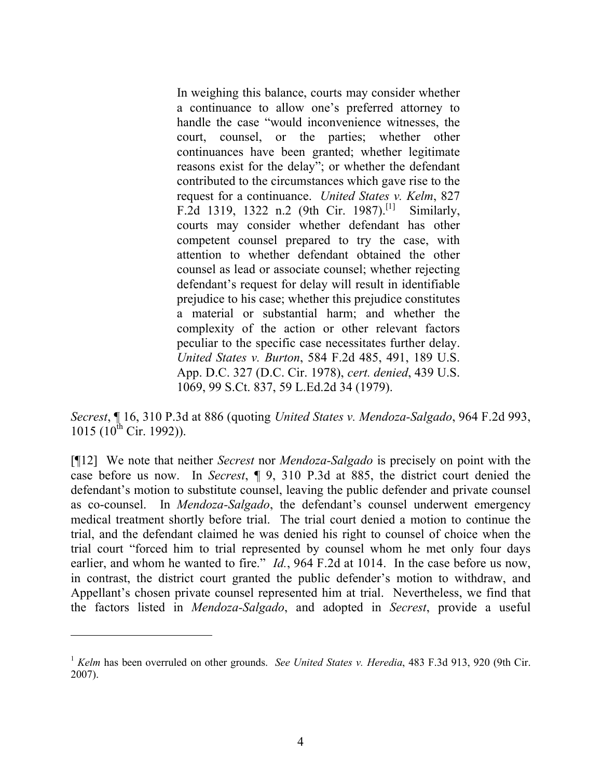In weighing this balance, courts may consider whether a continuance to allow one's preferred attorney to handle the case "would inconvenience witnesses, the court, counsel, or the parties; whether other continuances have been granted; whether legitimate reasons exist for the delay"; or whether the defendant contributed to the circumstances which gave rise to the request for a continuance. *United States v. Kelm*, 827 F.2d 1319, 1322 n.2 (9th Cir. 1987).<sup>[1]</sup> Similarly, courts may consider whether defendant has other competent counsel prepared to try the case, with attention to whether defendant obtained the other counsel as lead or associate counsel; whether rejecting defendant's request for delay will result in identifiable prejudice to his case; whether this prejudice constitutes a material or substantial harm; and whether the complexity of the action or other relevant factors peculiar to the specific case necessitates further delay. *United States v. Burton*, 584 F.2d 485, 491, 189 U.S. App. D.C. 327 (D.C. Cir. 1978), *cert. denied*, 439 U.S. 1069, 99 S.Ct. 837, 59 L.Ed.2d 34 (1979).

*Secrest*, ¶ 16, 310 P.3d at 886 (quoting *United States v. Mendoza-Salgado*, 964 F.2d 993, 1015 (10<sup>th</sup> Cir. 1992)).

[¶12] We note that neither *Secrest* nor *Mendoza-Salgado* is precisely on point with the case before us now. In *Secrest*, ¶ 9, 310 P.3d at 885, the district court denied the defendant's motion to substitute counsel, leaving the public defender and private counsel as co-counsel. In *Mendoza-Salgado*, the defendant's counsel underwent emergency medical treatment shortly before trial. The trial court denied a motion to continue the trial, and the defendant claimed he was denied his right to counsel of choice when the trial court "forced him to trial represented by counsel whom he met only four days earlier, and whom he wanted to fire." *Id.*, 964 F.2d at 1014. In the case before us now, in contrast, the district court granted the public defender's motion to withdraw, and Appellant's chosen private counsel represented him at trial. Nevertheless, we find that the factors listed in *Mendoza-Salgado*, and adopted in *Secrest*, provide a useful

 $\overline{a}$ 

<sup>1</sup> *Kelm* has been overruled on other grounds. *See United States v. Heredia*, 483 F.3d 913, 920 (9th Cir. 2007).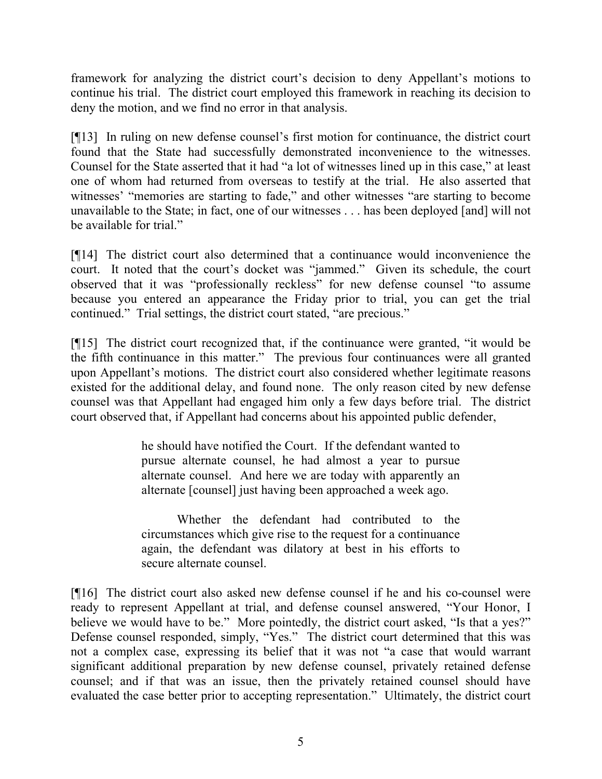framework for analyzing the district court's decision to deny Appellant's motions to continue his trial. The district court employed this framework in reaching its decision to deny the motion, and we find no error in that analysis.

[¶13] In ruling on new defense counsel's first motion for continuance, the district court found that the State had successfully demonstrated inconvenience to the witnesses. Counsel for the State asserted that it had "a lot of witnesses lined up in this case," at least one of whom had returned from overseas to testify at the trial. He also asserted that witnesses' "memories are starting to fade," and other witnesses "are starting to become unavailable to the State; in fact, one of our witnesses . . . has been deployed [and] will not be available for trial."

[¶14] The district court also determined that a continuance would inconvenience the court. It noted that the court's docket was "jammed." Given its schedule, the court observed that it was "professionally reckless" for new defense counsel "to assume because you entered an appearance the Friday prior to trial, you can get the trial continued." Trial settings, the district court stated, "are precious."

[¶15] The district court recognized that, if the continuance were granted, "it would be the fifth continuance in this matter." The previous four continuances were all granted upon Appellant's motions. The district court also considered whether legitimate reasons existed for the additional delay, and found none. The only reason cited by new defense counsel was that Appellant had engaged him only a few days before trial. The district court observed that, if Appellant had concerns about his appointed public defender,

> he should have notified the Court. If the defendant wanted to pursue alternate counsel, he had almost a year to pursue alternate counsel. And here we are today with apparently an alternate [counsel] just having been approached a week ago.

> Whether the defendant had contributed to the circumstances which give rise to the request for a continuance again, the defendant was dilatory at best in his efforts to secure alternate counsel.

[¶16] The district court also asked new defense counsel if he and his co-counsel were ready to represent Appellant at trial, and defense counsel answered, "Your Honor, I believe we would have to be." More pointedly, the district court asked, "Is that a yes?" Defense counsel responded, simply, "Yes." The district court determined that this was not a complex case, expressing its belief that it was not "a case that would warrant significant additional preparation by new defense counsel, privately retained defense counsel; and if that was an issue, then the privately retained counsel should have evaluated the case better prior to accepting representation." Ultimately, the district court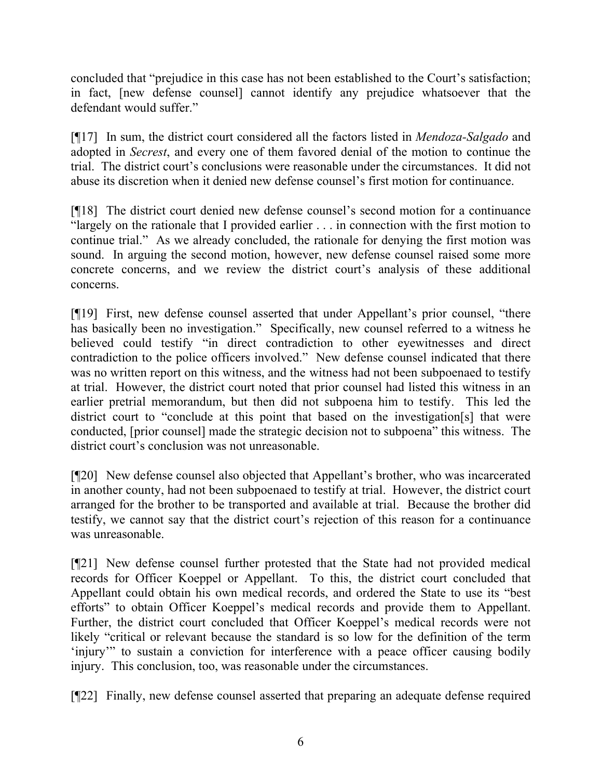concluded that "prejudice in this case has not been established to the Court's satisfaction; in fact, [new defense counsel] cannot identify any prejudice whatsoever that the defendant would suffer."

[¶17] In sum, the district court considered all the factors listed in *Mendoza-Salgado* and adopted in *Secrest*, and every one of them favored denial of the motion to continue the trial. The district court's conclusions were reasonable under the circumstances. It did not abuse its discretion when it denied new defense counsel's first motion for continuance.

[¶18] The district court denied new defense counsel's second motion for a continuance "largely on the rationale that I provided earlier . . . in connection with the first motion to continue trial." As we already concluded, the rationale for denying the first motion was sound. In arguing the second motion, however, new defense counsel raised some more concrete concerns, and we review the district court's analysis of these additional concerns.

[¶19] First, new defense counsel asserted that under Appellant's prior counsel, "there has basically been no investigation." Specifically, new counsel referred to a witness he believed could testify "in direct contradiction to other eyewitnesses and direct contradiction to the police officers involved." New defense counsel indicated that there was no written report on this witness, and the witness had not been subpoenaed to testify at trial. However, the district court noted that prior counsel had listed this witness in an earlier pretrial memorandum, but then did not subpoena him to testify. This led the district court to "conclude at this point that based on the investigation[s] that were conducted, [prior counsel] made the strategic decision not to subpoena" this witness. The district court's conclusion was not unreasonable.

[¶20] New defense counsel also objected that Appellant's brother, who was incarcerated in another county, had not been subpoenaed to testify at trial. However, the district court arranged for the brother to be transported and available at trial. Because the brother did testify, we cannot say that the district court's rejection of this reason for a continuance was unreasonable.

[¶21] New defense counsel further protested that the State had not provided medical records for Officer Koeppel or Appellant. To this, the district court concluded that Appellant could obtain his own medical records, and ordered the State to use its "best efforts" to obtain Officer Koeppel's medical records and provide them to Appellant. Further, the district court concluded that Officer Koeppel's medical records were not likely "critical or relevant because the standard is so low for the definition of the term 'injury'" to sustain a conviction for interference with a peace officer causing bodily injury. This conclusion, too, was reasonable under the circumstances.

[¶22] Finally, new defense counsel asserted that preparing an adequate defense required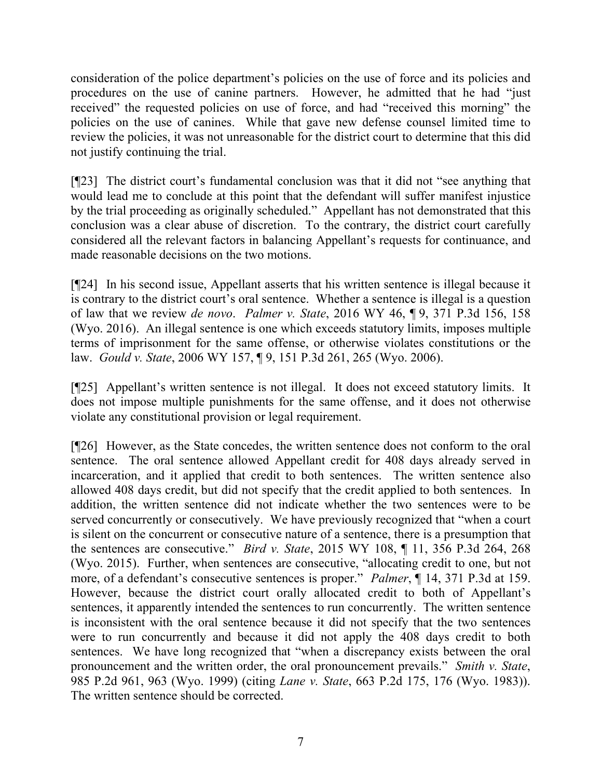consideration of the police department's policies on the use of force and its policies and procedures on the use of canine partners. However, he admitted that he had "just received" the requested policies on use of force, and had "received this morning" the policies on the use of canines. While that gave new defense counsel limited time to review the policies, it was not unreasonable for the district court to determine that this did not justify continuing the trial.

[¶23] The district court's fundamental conclusion was that it did not "see anything that would lead me to conclude at this point that the defendant will suffer manifest injustice by the trial proceeding as originally scheduled." Appellant has not demonstrated that this conclusion was a clear abuse of discretion. To the contrary, the district court carefully considered all the relevant factors in balancing Appellant's requests for continuance, and made reasonable decisions on the two motions.

[¶24] In his second issue, Appellant asserts that his written sentence is illegal because it is contrary to the district court's oral sentence. Whether a sentence is illegal is a question of law that we review *de novo*. *Palmer v. State*, 2016 WY 46, ¶ 9, 371 P.3d 156, 158 (Wyo. 2016). An illegal sentence is one which exceeds statutory limits, imposes multiple terms of imprisonment for the same offense, or otherwise violates constitutions or the law. *Gould v. State*, 2006 WY 157, ¶ 9, 151 P.3d 261, 265 (Wyo. 2006).

[¶25] Appellant's written sentence is not illegal. It does not exceed statutory limits. It does not impose multiple punishments for the same offense, and it does not otherwise violate any constitutional provision or legal requirement.

[¶26] However, as the State concedes, the written sentence does not conform to the oral sentence. The oral sentence allowed Appellant credit for 408 days already served in incarceration, and it applied that credit to both sentences. The written sentence also allowed 408 days credit, but did not specify that the credit applied to both sentences. In addition, the written sentence did not indicate whether the two sentences were to be served concurrently or consecutively. We have previously recognized that "when a court is silent on the concurrent or consecutive nature of a sentence, there is a presumption that the sentences are consecutive." *Bird v. State*, 2015 WY 108, ¶ 11, 356 P.3d 264, 268 (Wyo. 2015). Further, when sentences are consecutive, "allocating credit to one, but not more, of a defendant's consecutive sentences is proper." *Palmer*, ¶ 14, 371 P.3d at 159. However, because the district court orally allocated credit to both of Appellant's sentences, it apparently intended the sentences to run concurrently. The written sentence is inconsistent with the oral sentence because it did not specify that the two sentences were to run concurrently and because it did not apply the 408 days credit to both sentences. We have long recognized that "when a discrepancy exists between the oral pronouncement and the written order, the oral pronouncement prevails." *Smith v. State*, 985 P.2d 961, 963 (Wyo. 1999) (citing *Lane v. State*, 663 P.2d 175, 176 (Wyo. 1983)). The written sentence should be corrected.